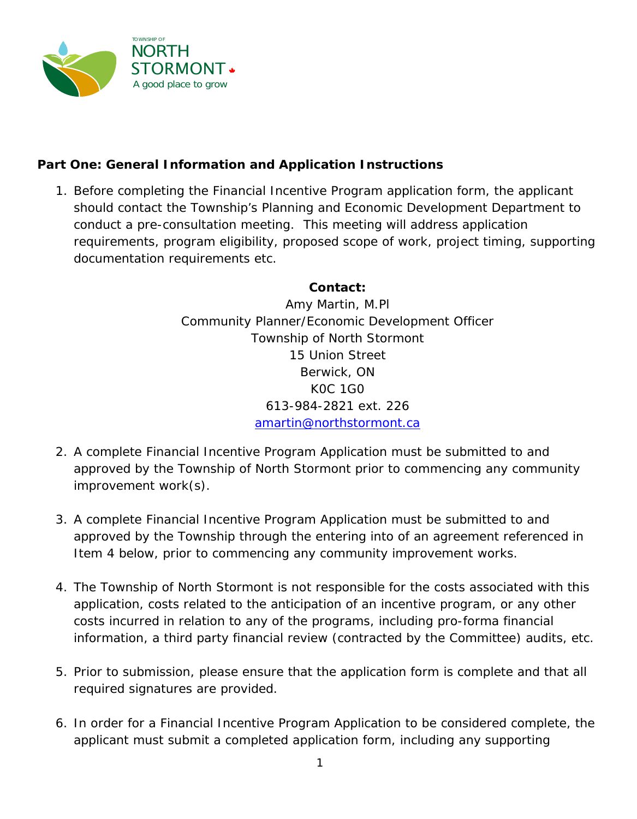

# **Part One: General Information and Application Instructions**

1. Before completing the Financial Incentive Program application form, the applicant should contact the Township's Planning and Economic Development Department to conduct a pre-consultation meeting. This meeting will address application requirements, program eligibility, proposed scope of work, project timing, supporting documentation requirements etc.

## **Contact:**

Amy Martin, M.Pl Community Planner/Economic Development Officer Township of North Stormont 15 Union Street Berwick, ON K0C 1G0 613-984-2821 ext. 226 [amartin@northstormont.ca](mailto:amartin@northstormont.ca)

- 2. A complete Financial Incentive Program Application must be submitted to and approved by the Township of North Stormont prior to commencing any community improvement work(s).
- 3. A complete Financial Incentive Program Application must be submitted to and approved by the Township through the entering into of an agreement referenced in Item 4 below, prior to commencing any community improvement works.
- 4. The Township of North Stormont is not responsible for the costs associated with this application, costs related to the anticipation of an incentive program, or any other costs incurred in relation to any of the programs, including pro-forma financial information, a third party financial review (contracted by the Committee) audits, etc.
- 5. Prior to submission, please ensure that the application form is complete and that all required signatures are provided.
- 6. In order for a Financial Incentive Program Application to be considered complete, the applicant must submit a completed application form, including any supporting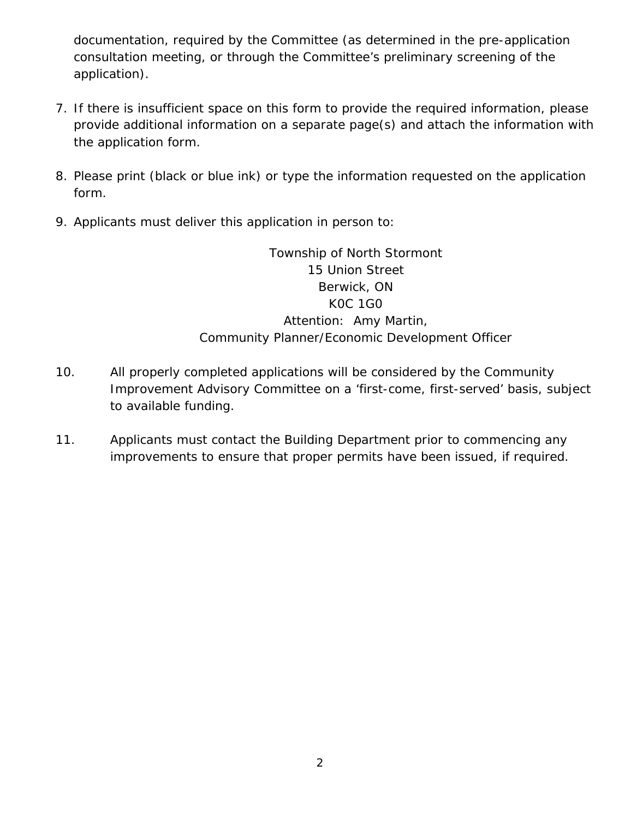documentation, required by the Committee (as determined in the pre-application consultation meeting, or through the Committee's preliminary screening of the application).

- 7. If there is insufficient space on this form to provide the required information, please provide additional information on a separate page(s) and attach the information with the application form.
- 8. Please print (black or blue ink) or type the information requested on the application form.
- 9. Applicants must deliver this application in person to:

Township of North Stormont 15 Union Street Berwick, ON K0C 1G0 Attention: Amy Martin, Community Planner/Economic Development Officer

- 10. All properly completed applications will be considered by the Community Improvement Advisory Committee on a 'first-come, first-served' basis, subject to available funding.
- 11. Applicants must contact the Building Department prior to commencing any improvements to ensure that proper permits have been issued, if required.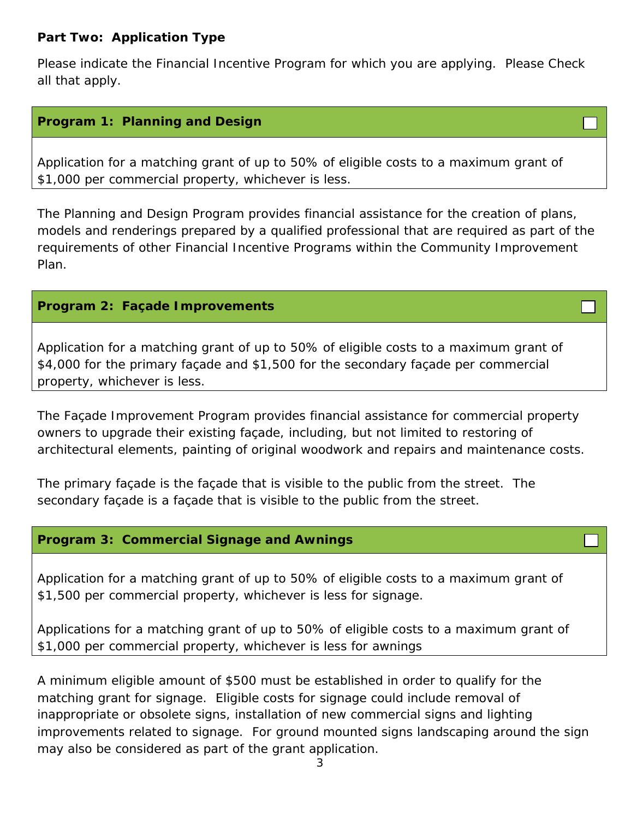## **Part Two: Application Type**

Please indicate the Financial Incentive Program for which you are applying. Please Check all that apply.

## **Program 1: Planning and Design**

Application for a matching grant of up to 50% of eligible costs to a maximum grant of \$1,000 per commercial property, whichever is less.

The Planning and Design Program provides financial assistance for the creation of plans, models and renderings prepared by a qualified professional that are required as part of the requirements of other Financial Incentive Programs within the Community Improvement Plan.

## **Program 2: Façade Improvements**

Application for a matching grant of up to 50% of eligible costs to a maximum grant of \$4,000 for the primary façade and \$1,500 for the secondary façade per commercial property, whichever is less.

The Façade Improvement Program provides financial assistance for commercial property owners to upgrade their existing façade, including, but not limited to restoring of architectural elements, painting of original woodwork and repairs and maintenance costs.

The primary façade is the façade that is visible to the public from the street. The secondary façade is a façade that is visible to the public from the street.

#### **Program 3: Commercial Signage and Awnings**

Application for a matching grant of up to 50% of eligible costs to a maximum grant of \$1,500 per commercial property, whichever is less for signage.

Applications for a matching grant of up to 50% of eligible costs to a maximum grant of \$1,000 per commercial property, whichever is less for awnings

A minimum eligible amount of \$500 must be established in order to qualify for the matching grant for signage. Eligible costs for signage could include removal of inappropriate or obsolete signs, installation of new commercial signs and lighting improvements related to signage. For ground mounted signs landscaping around the sign may also be considered as part of the grant application.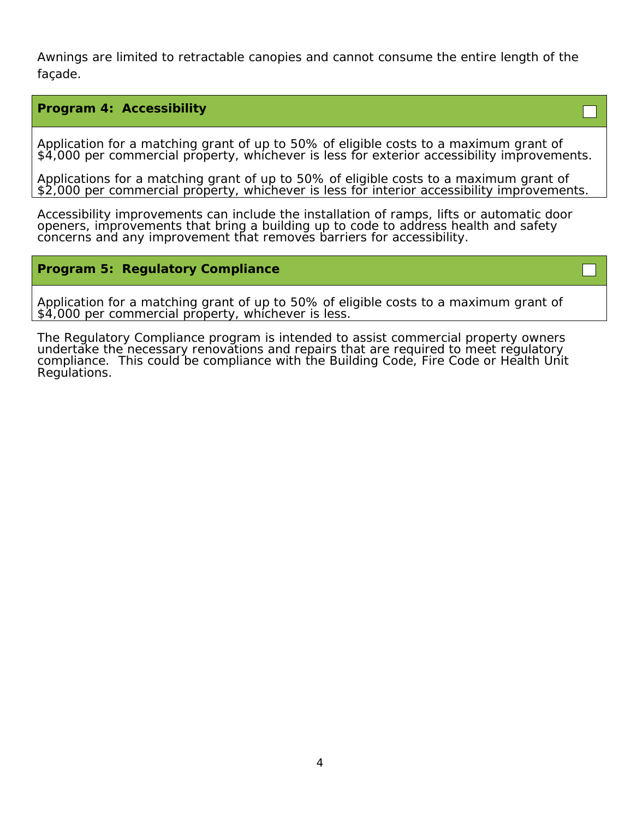Awnings are limited to retractable canopies and cannot consume the entire length of the façade.

#### **Program 4: Accessibility**

Application for a matching grant of up to 50% of eligible costs to a maximum grant of \$4,000 per commercial property, whichever is less for exterior accessibility improvements.

Applications for a matching grant of up to 50% of eligible costs to a maximum grant of \$2,000 per commercial property, whichever is less for interior accessibility improvements.

Accessibility improvements can include the installation of ramps, lifts or automatic door openers, improvements that bring a building up to code to address health and safety concerns and any improvement that removes barriers for accessibility.

#### **Program 5: Regulatory Compliance**

Application for a matching grant of up to 50% of eligible costs to a maximum grant of \$4,000 per commercial property, whichever is less.

The Regulatory Compliance program is intended to assist commercial property owners undertake the necessary renovations and repairs that are required to meet regulatory compliance. This could be compliance with the Building Code, Fire Code or Health Unit Regulations.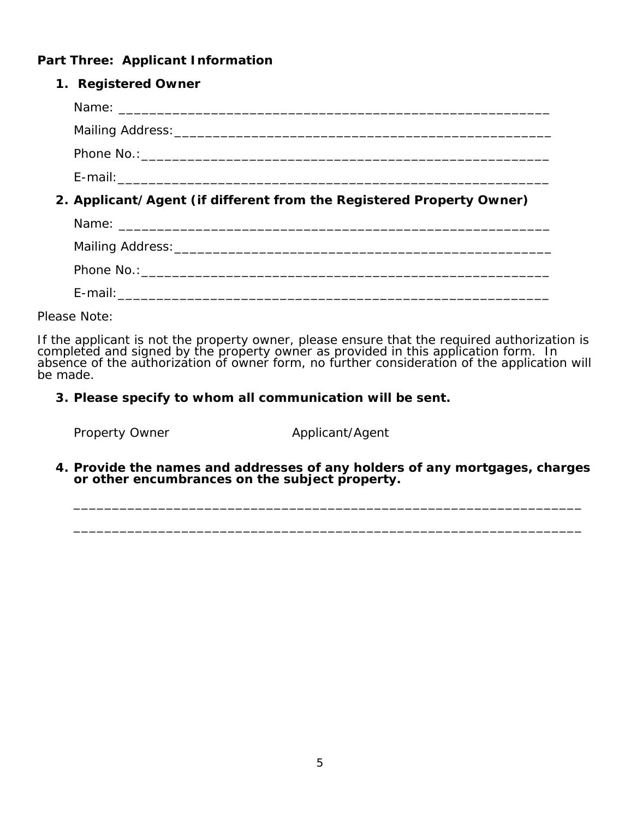## **Part Three: Applicant Information**

| 1. Registered Owner                                                  |
|----------------------------------------------------------------------|
|                                                                      |
|                                                                      |
|                                                                      |
|                                                                      |
| 2. Applicant/Agent (if different from the Registered Property Owner) |
|                                                                      |
|                                                                      |
|                                                                      |
|                                                                      |

*Please Note:*

*If the applicant is not the property owner, please ensure that the required authorization is completed and signed by the property owner as provided in this application form. In absence of the authorization of owner form, no further consideration of the application will be made.*

**3. Please specify to whom all communication will be sent.**

Property Owner **Applicant/Agent** 

**4. Provide the names and addresses of any holders of any mortgages, charges or other encumbrances on the subject property.**

\_\_\_\_\_\_\_\_\_\_\_\_\_\_\_\_\_\_\_\_\_\_\_\_\_\_\_\_\_\_\_\_\_\_\_\_\_\_\_\_\_\_\_\_\_\_\_\_\_\_\_\_\_\_\_\_\_\_\_\_\_\_\_\_\_\_

\_\_\_\_\_\_\_\_\_\_\_\_\_\_\_\_\_\_\_\_\_\_\_\_\_\_\_\_\_\_\_\_\_\_\_\_\_\_\_\_\_\_\_\_\_\_\_\_\_\_\_\_\_\_\_\_\_\_\_\_\_\_\_\_\_\_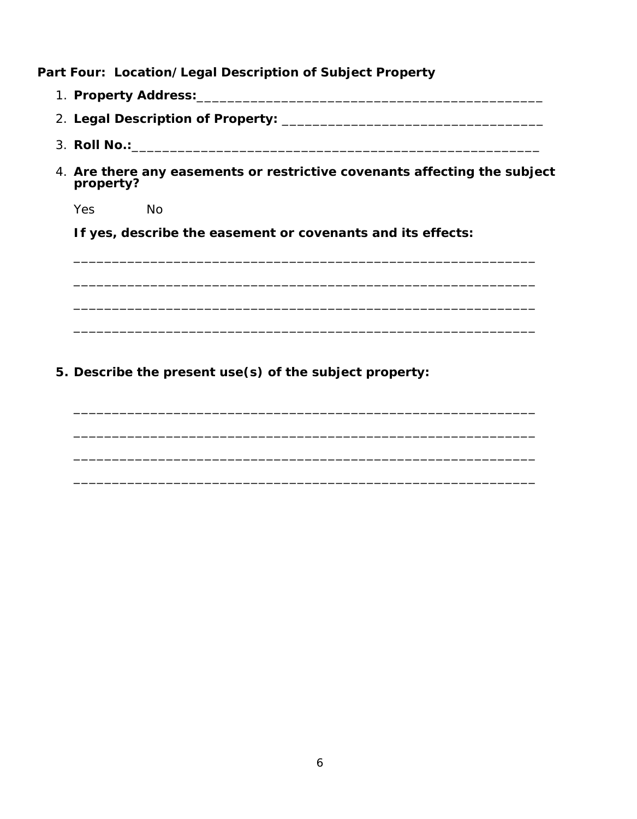Part Four: Location/Legal Description of Subject Property

- 
- 
- 3. Roll No.: 2008. 2009. 2009. 2009. 2009. 2009. 2009. 2009. 2009. 2009. 2009. 2009. 2009. 2009. 2009. 2009. 20
- 4. Are there any easements or restrictive covenants affecting the subject property?

Yes **No** 

If yes, describe the easement or covenants and its effects:

5. Describe the present use(s) of the subject property: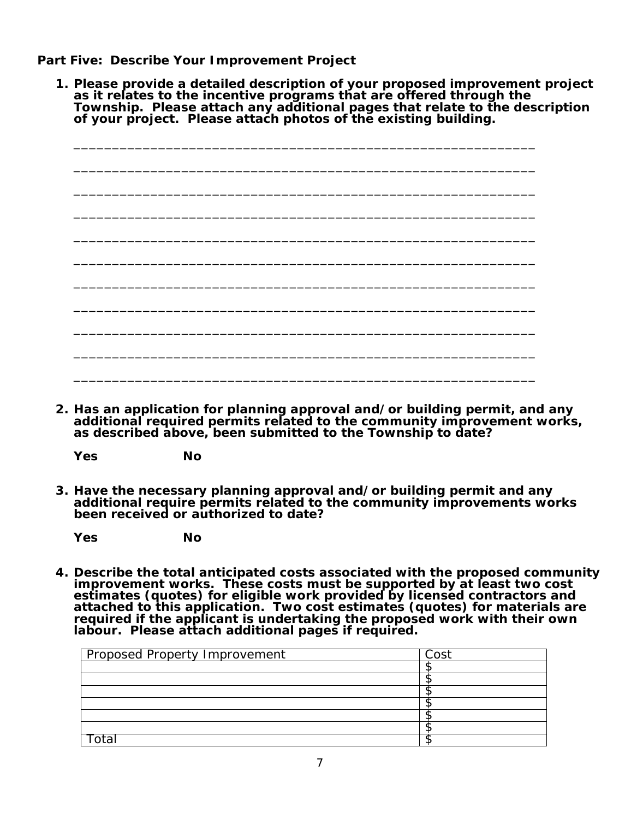**Part Five: Describe Your Improvement Project**

**1. Please provide a detailed description of your proposed improvement project as it relates to the incentive programs that are offered through the Township. Please attach any additional pages that relate to the description of your project. Please attach photos of the existing building.**

|  |  |  | $\overline{\phantom{0}}$ |
|--|--|--|--------------------------|
|  |  |  |                          |
|  |  |  |                          |
|  |  |  |                          |
|  |  |  |                          |
|  |  |  |                          |
|  |  |  |                          |
|  |  |  |                          |
|  |  |  |                          |
|  |  |  |                          |
|  |  |  |                          |
|  |  |  |                          |

**2. Has an application for planning approval and/or building permit, and any additional required permits related to the community improvement works, as described above, been submitted to the Township to date?**

**Yes No**

**3. Have the necessary planning approval and/or building permit and any additional require permits related to the community improvements works been received or authorized to date?**

**Yes No**

**4. Describe the total anticipated costs associated with the proposed community**  improvement works. These costs must be supported by at least two cost estimates (quotes) for eligible work provided by licensed contractors and **attached to this application. Two cost estimates (quotes) for materials are required if the applicant is undertaking the proposed work with their own labour. Please attach additional pages if required.**

| Cost |
|------|
|      |
|      |
|      |
|      |
|      |
|      |
|      |
|      |